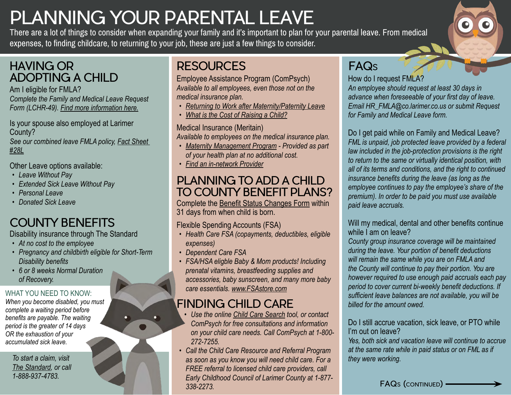# PLANNING YOUR PARENTAL LEAVE

There are a lot of things to consider when expanding your family and it's important to plan for your parental leave. From medical expenses, to finding childcare, to returning to your job, these are just a few things to consider.

### HAVING OR ADOPTING A CHILD

Am I eligible for FMLA? *Complete the Family and Medical Leave Request Form (LCHR-49). [Find more information here.](https://www.larimer.org/hr/employee-relations/fmla)*

Is your spouse also employed at Larimer County?

*See our combined leave FMLA policy, [Fact Sheet](https://www.dol.gov/whd/regs/compliance/whdfs28l.pdf)  [#28L](https://www.dol.gov/whd/regs/compliance/whdfs28l.pdf)*

Other Leave options available:

- *• Leave Without Pay*
- *• Extended Sick Leave Without Pay*
- *• Personal Leave*
- *• Donated Sick Leave*

# COUNTY BENEFITS

Disability insurance through The Standard

- *• At no cost to the employee*
- *• Pregnancy and childbirth eligible for Short-Term Disability benefits*
- *• 6 or 8 weeks Normal Duration of Recovery.*

### WHAT YOU NEED TO KNOW:

*When you become disabled, you must complete a waiting period before benefits are payable. The waiting period is the greater of 14 days OR the exhaustion of your accumulated sick leave.*

*To start a claim, visit The Standard, or call 1-888-937-4783.*

# **RESOURCES**

Employee Assistance Program (ComPsych) *Available to all employees, even those not on the medical insurance plan.*

- *• [Returning to Work after Maternity/Paternity Leave](https://www.larimer.org/sites/default/files/uploads/2018/guidanceresources_online_-_returning_to_work_after_a_maternity_paternity_leave.pdf)*
- *• [What is the Cost of Raising a Child?](https://www.larimer.org/sites/default/files/uploads/2018/guidanceresources_online_-_what_is_the_cost_of_raising_a_child_.pdf)*

#### Medical Insurance (Meritain)

*Available to employees on the medical insurance plan.*

- *• [Maternity Management Program](https://fhs.umr.com/oss/cms/FHS.UMR.com/content/member/caremanagement/Maternity_Management)  Provided as part of your health plan at no additional cost.*
- *• [Find an in-network Provider](https://www.larimer.org/sites/default/files/uploads/2021/mh_members-flyer_aetna-docfind-online-directory_pos-ii_0920.pdf)*

### PLANNING TO ADD A CHILD TO COUNTY BENEFIT PLANS?

Complete the [Benefit Status Changes Form](https://www.larimer.org/sites/default/files/uploads/2018/lchr-033_benefit_status_changes_and_forms_03.2018_0.pdf) within 31 days from when child is born.

Flexible Spending Accounts (FSA)

- *• Health Care FSA (copayments, deductibles, eligible expenses)*
- *• Dependent Care FSA*
- *• FSA/HSA eligble Baby & Mom products! Including prenatal vitamins, breastfeeding supplies and accessories, baby sunscreen, and many more baby care essentials. [www.FSAstore.com](https://fsastore.com/Baby-Mom-C318.aspx)*

## FINDING CHILD CARE

- *• Use the online [Child Care Search](http://www.guidanceresources.com/) tool, or contact ComPsych for free consultations and information on your child care needs. Call ComPsych at 1-800- 272-7255.*
- *• Call the Child Care Resource and Referral Program as soon as you know you will need child care. For a FREE referral to licensed child care providers, call Early Childhood Council of Larimer County at 1-877- 338-2273.*

## FAQs

How do I request FMLA?

*An employee should request at least 30 days in advance when foreseeable of your first day of leave. Email HR\_FMLA@co.larimer.co.us or submit Request for Family and Medical Leave form.*

Do I get paid while on Family and Medical Leave? *FML is unpaid, job protected leave provided by a federal law included in the job-protection provisions is the right to return to the same or virtually identical position, with all of its terms and conditions, and the right to continued insurance benefits during the leave (as long as the employee continues to pay the employee's share of the premium). In order to be paid you must use available paid leave accruals.*

#### Will my medical, dental and other benefits continue while I am on leave?

*County group insurance coverage will be maintained during the leave. Your portion of benefit deductions will remain the same while you are on FMLA and the County will continue to pay their portion. You are however required to use enough paid accruals each pay period to cover current bi-weekly benefit deductions. If sufficient leave balances are not available, you will be billed for the amount owed.*

#### Do I still accrue vacation, sick leave, or PTO while I'm out on leave?

*Yes, both sick and vacation leave will continue to accrue at the same rate while in paid status or on FML as if they were working.*

FAQs (CONTINUED) -